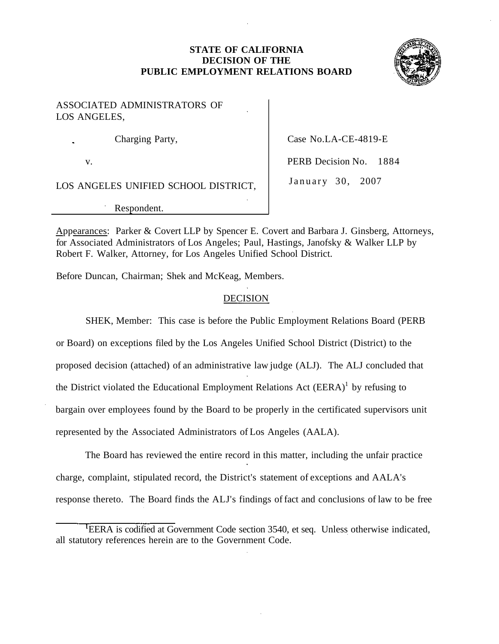## **STATE OF CALIFORNIA DECISION OF THE PUBLIC EMPLOYMENT RELATIONS BOARD**



ASSOCIATED ADMINISTRATORS OF LOS ANGELES,

Charging Party, Case No.LA-CE-4819-E

LOS ANGELES UNIFIED SCHOOL DISTRICT, January 30, 2007

Respondent.

v. **PERB Decision No. 1884** 

Appearances: Parker & Covert LLP by Spencer E. Covert and Barbara J. Ginsberg, Attorneys, for Associated Administrators of Los Angeles; Paul, Hastings, Janofsky & Walker LLP by Robert F. Walker, Attorney, for Los Angeles Unified School District.

Before Duncan, Chairman; Shek and McKeag, Members.

# **DECISION**

SHEK, Member: This case is before the Public Employment Relations Board (PERB or Board) on exceptions filed by the Los Angeles Unified School District (District) to the proposed decision (attached) of an administrative law judge (ALJ). The ALJ concluded that the District violated the Educational Employment Relations Act  $(EERA)^1$  by refusing to bargain over employees found by the Board to be properly in the certificated supervisors unit represented by the Associated Administrators of Los Angeles (AALA).

The Board has reviewed the entire record in this matter, including the unfair practice charge, complaint, stipulated record, the District's statement of exceptions and AALA's response thereto. The Board finds the ALJ's findings of fact and conclusions of law to be free

<sup>&</sup>lt;sup>t</sup>EERA is codified at Government Code section 3540, et seq. Unless otherwise indicated, all statutory references herein are to the Government Code.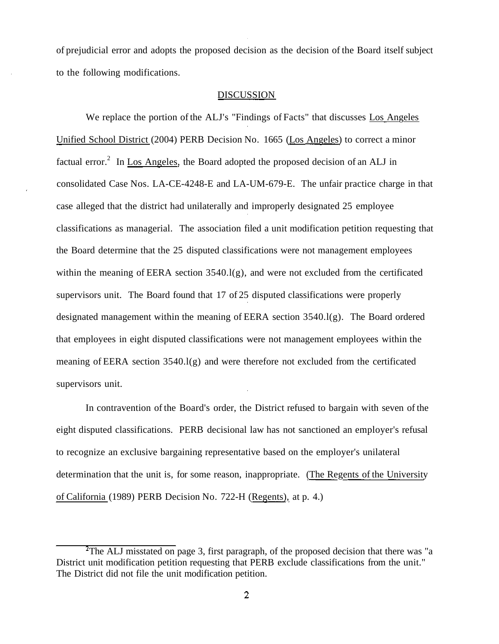of prejudicial error and adopts the proposed decision as the decision of the Board itself subject to the following modifications.

#### DISCUSSION

We replace the portion of the ALJ's "Findings of Facts" that discusses Los Angeles Unified School District (2004) PERB Decision No. 1665 (Los Angeles) to correct a minor factual error.<sup>2</sup> In Los Angeles, the Board adopted the proposed decision of an ALJ in consolidated Case Nos. LA-CE-4248-E and LA-UM-679-E. The unfair practice charge in that case alleged that the district had unilaterally and improperly designated 25 employee classifications as managerial. The association filed a unit modification petition requesting that the Board determine that the 25 disputed classifications were not management employees within the meaning of EERA section 3540.l(g), and were not excluded from the certificated supervisors unit. The Board found that 17 of 25 disputed classifications were properly designated management within the meaning of EERA section 3540.l(g). The Board ordered that employees in eight disputed classifications were not management employees within the meaning of EERA section 3540.l(g) and were therefore not excluded from the certificated supervisors unit.

In contravention of the Board's order, the District refused to bargain with seven of the eight disputed classifications. PERB decisional law has not sanctioned an employer's refusal to recognize an exclusive bargaining representative based on the employer's unilateral determination that the unit is, for some reason, inappropriate. (The Regents of the University of California (1989) PERB Decision No. 722-H (Regents), at p. 4.)

<sup>&</sup>lt;sup>2</sup>The ALJ misstated on page 3, first paragraph, of the proposed decision that there was "a District unit modification petition requesting that PERB exclude classifications from the unit." The District did not file the unit modification petition.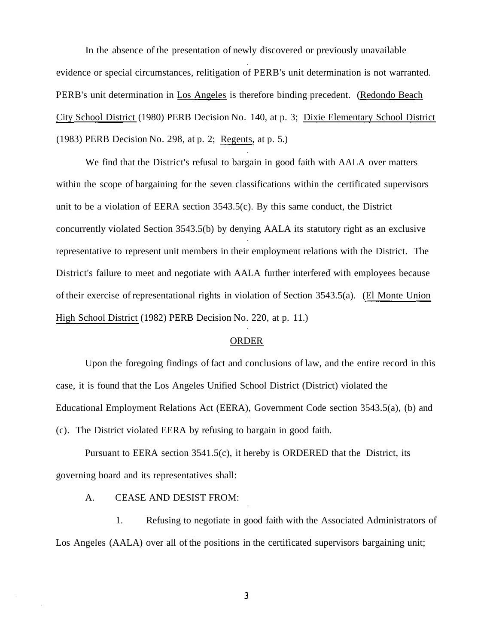In the absence of the presentation of newly discovered or previously unavailable evidence or special circumstances, relitigation of PERB's unit determination is not warranted. PERB's unit determination in Los Angeles is therefore binding precedent. (Redondo Beach City School District (1980) PERB Decision No. 140, at p. 3; Dixie Elementary School District (1983) PERB Decision No. 298, at p. 2; Regents, at p. 5.)

We find that the District's refusal to bargain in good faith with AALA over matters within the scope of bargaining for the seven classifications within the certificated supervisors unit to be a violation of EERA section 3543.5(c). By this same conduct, the District concurrently violated Section 3543.5(b) by denying AALA its statutory right as an exclusive representative to represent unit members in their employment relations with the District. The District's failure to meet and negotiate with AALA further interfered with employees because of their exercise of representational rights in violation of Section 3543.5(a). (El Monte Union High School District (1982) PERB Decision No. 220, at p. 11.)

### ORDER

Upon the foregoing findings of fact and conclusions of law, and the entire record in this case, it is found that the Los Angeles Unified School District (District) violated the Educational Employment Relations Act (EERA), Government Code section 3543.5(a), (b) and (c). The District violated EERA by refusing to bargain in good faith.

Pursuant to EERA section 3541.5(c), it hereby is ORDERED that the District, its governing board and its representatives shall:

A. CEASE AND DESIST FROM:

1. Refusing to negotiate in good faith with the Associated Administrators of Los Angeles (AALA) over all of the positions in the certificated supervisors bargaining unit;

 $\overline{3}$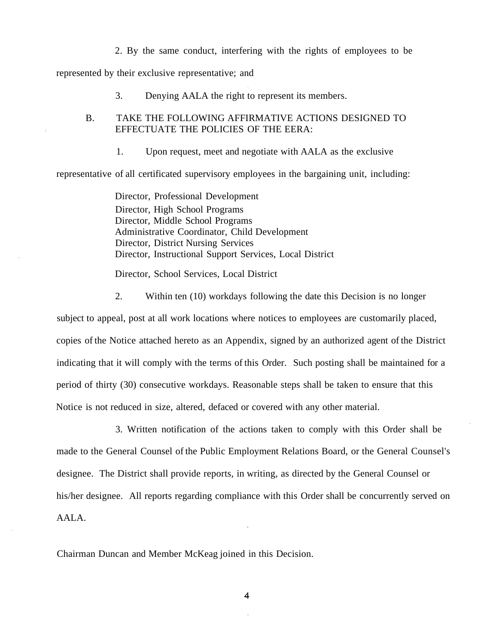2. By the same conduct, interfering with the rights of employees to be

represented by their exclusive representative; and

3. Denying AALA the right to represent its members.

### B. TAKE THE FOLLOWING AFFIRMATIVE ACTIONS DESIGNED TO EFFECTUATE THE POLICIES OF THE EERA:

1. Upon request, meet and negotiate with AALA as the exclusive

representative of all certificated supervisory employees in the bargaining unit, including:

Director, Professional Development Director, High School Programs Director, Middle School Programs Administrative Coordinator, Child Development Director, District Nursing Services Director, Instructional Support Services, Local District

Director, School Services, Local District

2. Within ten (10) workdays following the date this Decision is no longer

subject to appeal, post at all work locations where notices to employees are customarily placed, copies of the Notice attached hereto as an Appendix, signed by an authorized agent of the District indicating that it will comply with the terms of this Order. Such posting shall be maintained for a period of thirty (30) consecutive workdays. Reasonable steps shall be taken to ensure that this Notice is not reduced in size, altered, defaced or covered with any other material.

3. Written notification of the actions taken to comply with this Order shall be made to the General Counsel of the Public Employment Relations Board, or the General Counsel's designee. The District shall provide reports, in writing, as directed by the General Counsel or his/her designee. All reports regarding compliance with this Order shall be concurrently served on AALA.

Chairman Duncan and Member McKeag joined in this Decision.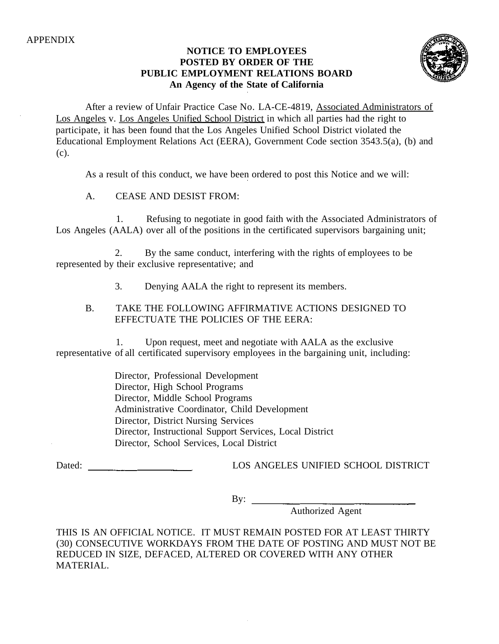# **NOTICE TO EMPLOYEES POSTED BY ORDER OF THE PUBLIC EMPLOYMENT RELATIONS BOARD An Agency of the State of California**



After a review of Unfair Practice Case No. LA-CE-4819, Associated Administrators of Los Angeles v. Los Angeles Unified School District in which all parties had the right to participate, it has been found that the Los Angeles Unified School District violated the Educational Employment Relations Act (EERA), Government Code section 3543.5(a), (b) and (c).

As a result of this conduct, we have been ordered to post this Notice and we will:

A. CEASE AND DESIST FROM:

1. Refusing to negotiate in good faith with the Associated Administrators of Los Angeles (AALA) over all of the positions in the certificated supervisors bargaining unit;

2. By the same conduct, interfering with the rights of employees to be represented by their exclusive representative; and

3. Denying AALA the right to represent its members.

# B. TAKE THE FOLLOWING AFFIRMATIVE ACTIONS DESIGNED TO EFFECTUATE THE POLICIES OF THE EERA:

1. Upon request, meet and negotiate with AALA as the exclusive representative of all certificated supervisory employees in the bargaining unit, including:

> Director, Professional Development Director, High School Programs Director, Middle School Programs Administrative Coordinator, Child Development Director, District Nursing Services Director, Instructional Support Services, Local District Director, School Services, Local District

Dated: LOS ANGELES UNIFIED SCHOOL DISTRICT

By:

Authorized Agent

THIS IS AN OFFICIAL NOTICE. IT MUST REMAIN POSTED FOR AT LEAST THIRTY (30) CONSECUTIVE WORKDAYS FROM THE DATE OF POSTING AND MUST NOT BE REDUCED IN SIZE, DEFACED, ALTERED OR COVERED WITH ANY OTHER MATERIAL.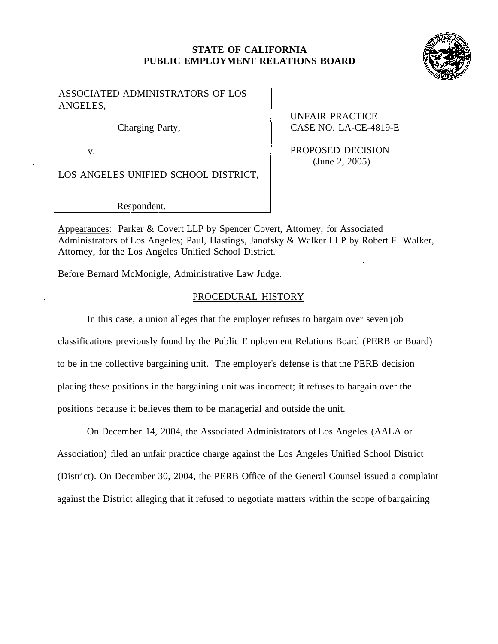## **STATE OF CALIFORNIA PUBLIC EMPLOYMENT RELATIONS BOARD**



## ASSOCIATED ADMINISTRATORS OF LOS ANGELES,

LOS ANGELES UNIFIED SCHOOL DISTRICT,

Respondent.

UNFAIR PRACTICE Charging Party, CASE NO. LA-CE-4819-E

v. (June 2, 2005)

Appearances: Parker & Covert LLP by Spencer Covert, Attorney, for Associated Administrators of Los Angeles; Paul, Hastings, Janofsky & Walker LLP by Robert F. Walker, Attorney, for the Los Angeles Unified School District.

Before Bernard McMonigle, Administrative Law Judge.

# PROCEDURAL HISTORY

In this case, a union alleges that the employer refuses to bargain over seven job classifications previously found by the Public Employment Relations Board (PERB or Board) to be in the collective bargaining unit. The employer's defense is that the PERB decision placing these positions in the bargaining unit was incorrect; it refuses to bargain over the positions because it believes them to be managerial and outside the unit.

On December 14, 2004, the Associated Administrators of Los Angeles (AALA or Association) filed an unfair practice charge against the Los Angeles Unified School District (District). On December 30, 2004, the PERB Office of the General Counsel issued a complaint against the District alleging that it refused to negotiate matters within the scope of bargaining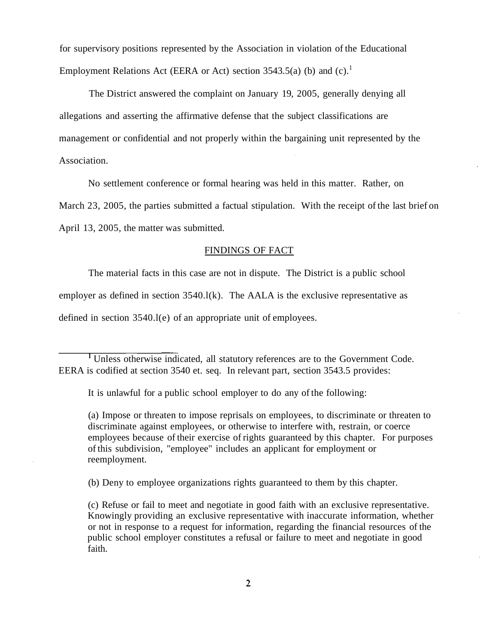for supervisory positions represented by the Association in violation of the Educational Employment Relations Act (EERA or Act) section  $3543.5(a)$  (b) and (c).<sup>1</sup>

The District answered the complaint on January 19, 2005, generally denying all allegations and asserting the affirmative defense that the subject classifications are management or confidential and not properly within the bargaining unit represented by the Association.

No settlement conference or formal hearing was held in this matter. Rather, on

March 23, 2005, the parties submitted a factual stipulation. With the receipt of the last brief on

April 13, 2005, the matter was submitted.

#### FINDINGS OF FACT

The material facts in this case are not in dispute. The District is a public school

employer as defined in section 3540.l(k). The AALA is the exclusive representative as

defined in section 3540.l(e) of an appropriate unit of employees.

<sup>1</sup> Unless otherwise indicated, all statutory references are to the Government Code. EERA is codified at section 3540 et. seq. In relevant part, section 3543.5 provides:

It is unlawful for a public school employer to do any of the following:

(a) Impose or threaten to impose reprisals on employees, to discriminate or threaten to discriminate against employees, or otherwise to interfere with, restrain, or coerce employees because of their exercise of rights guaranteed by this chapter. For purposes of this subdivision, "employee" includes an applicant for employment or reemployment.

(b) Deny to employee organizations rights guaranteed to them by this chapter.

(c) Refuse or fail to meet and negotiate in good faith with an exclusive representative. Knowingly providing an exclusive representative with inaccurate information, whether or not in response to a request for information, regarding the financial resources of the public school employer constitutes a refusal or failure to meet and negotiate in good faith.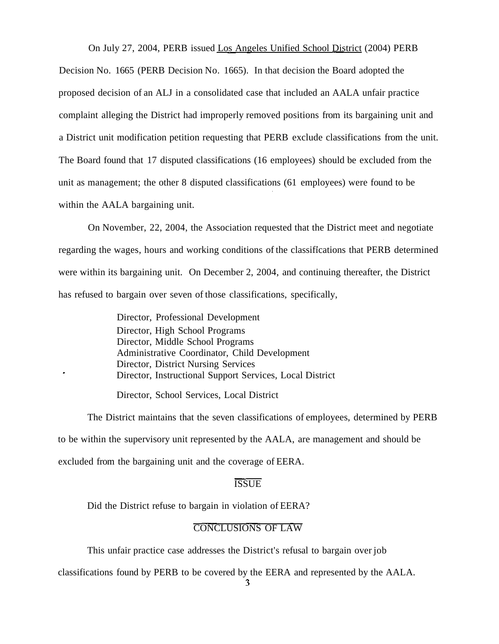On July 27, 2004, PERB issued Los Angeles Unified School District (2004) PERB

Decision No. 1665 (PERB Decision No. 1665). In that decision the Board adopted the proposed decision of an ALJ in a consolidated case that included an AALA unfair practice complaint alleging the District had improperly removed positions from its bargaining unit and a District unit modification petition requesting that PERB exclude classifications from the unit. The Board found that 17 disputed classifications (16 employees) should be excluded from the unit as management; the other 8 disputed classifications (61 employees) were found to be within the AALA bargaining unit.

On November, 22, 2004, the Association requested that the District meet and negotiate regarding the wages, hours and working conditions of the classifications that PERB determined were within its bargaining unit. On December 2, 2004, and continuing thereafter, the District has refused to bargain over seven of those classifications, specifically,

> Director, Professional Development Director, High School Programs Director, Middle School Programs Administrative Coordinator, Child Development Director, District Nursing Services Director, Instructional Support Services, Local District

Director, School Services, Local District

The District maintains that the seven classifications of employees, determined by PERB to be within the supervisory unit represented by the AALA, are management and should be excluded from the bargaining unit and the coverage of EERA.

#### **ISSUE**

Did the District refuse to bargain in violation of EERA?

## CONCLUSIONS OF LAW

This unfair practice case addresses the District's refusal to bargain over job

classifications found by PERB to be covered by the EERA and represented by the AALA.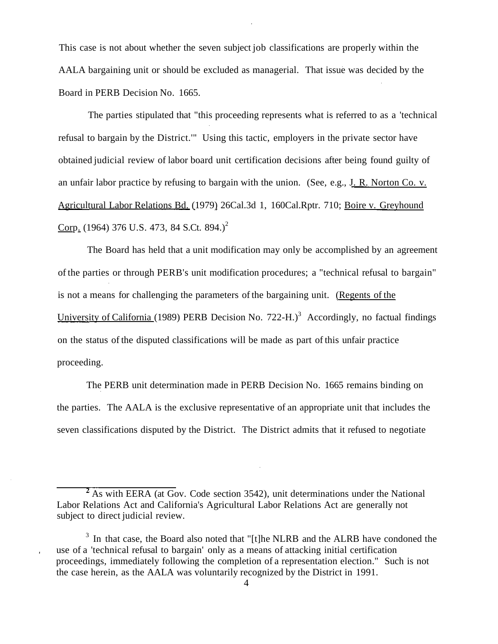This case is not about whether the seven subject job classifications are properly within the AALA bargaining unit or should be excluded as managerial. That issue was decided by the Board in PERB Decision No. 1665.

The parties stipulated that "this proceeding represents what is referred to as a 'technical refusal to bargain by the District.'" Using this tactic, employers in the private sector have obtained judicial review of labor board unit certification decisions after being found guilty of an unfair labor practice by refusing to bargain with the union. (See, e.g., J. R. Norton Co. v. Agricultural Labor Relations Bd. (1979) [26Cal.3d](https://26Cal.3d) 1, 160Cal.Rptr. 710; Boire v. Greyhound Corp. (1964) 376 U.S. 473, 84 S.Ct. 894.)<sup>2</sup>

The Board has held that a unit modification may only be accomplished by an agreement of the parties or through PERB's unit modification procedures; a "technical refusal to bargain" is not a means for challenging the parameters of the bargaining unit. (Regents of the University of California (1989) PERB Decision No. 722-H.)<sup>3</sup> Accordingly, no factual findings on the status of the disputed classifications will be made as part of this unfair practice proceeding.

The PERB unit determination made in PERB Decision No. 1665 remains binding on the parties. The AALA is the exclusive representative of an appropriate unit that includes the seven classifications disputed by the District. The District admits that it refused to negotiate

 $\overline{A}$  As with EERA (at Gov. Code section 3542), unit determinations under the National Labor Relations Act and California's Agricultural Labor Relations Act are generally not subject to direct judicial review.

<sup>&</sup>lt;sup>3</sup> In that case, the Board also noted that "[t]he NLRB and the ALRB have condoned the use of a 'technical refusal to bargain' only as a means of attacking initial certification proceedings, immediately following the completion of a representation election." Such is not the case herein, as the AALA was voluntarily recognized by the District in 1991.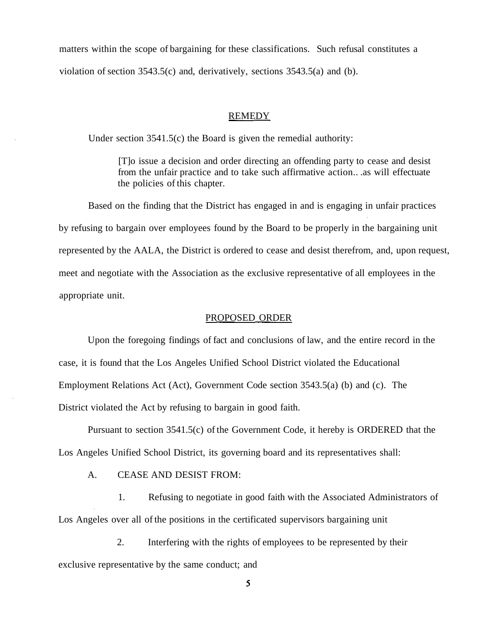matters within the scope of bargaining for these classifications. Such refusal constitutes a violation of section 3543.5(c) and, derivatively, sections 3543.5(a) and (b).

#### REMEDY

Under section 3541.5(c) the Board is given the remedial authority:

[T]o issue a decision and order directing an offending party to cease and desist from the unfair practice and to take such affirmative action.. .as will effectuate the policies of this chapter.

Based on the finding that the District has engaged in and is engaging in unfair practices by refusing to bargain over employees found by the Board to be properly in the bargaining unit represented by the AALA, the District is ordered to cease and desist therefrom, and, upon request, meet and negotiate with the Association as the exclusive representative of all employees in the appropriate unit.

#### PROPOSED ORDER

Upon the foregoing findings of fact and conclusions of law, and the entire record in the case, it is found that the Los Angeles Unified School District violated the Educational Employment Relations Act (Act), Government Code section 3543.5(a) (b) and (c). The District violated the Act by refusing to bargain in good faith.

Pursuant to section 3541.5(c) of the Government Code, it hereby is ORDERED that the Los Angeles Unified School District, its governing board and its representatives shall:

A. CEASE AND DESIST FROM:

1. Refusing to negotiate in good faith with the Associated Administrators of Los Angeles over all of the positions in the certificated supervisors bargaining unit

2. Interfering with the rights of employees to be represented by their exclusive representative by the same conduct; and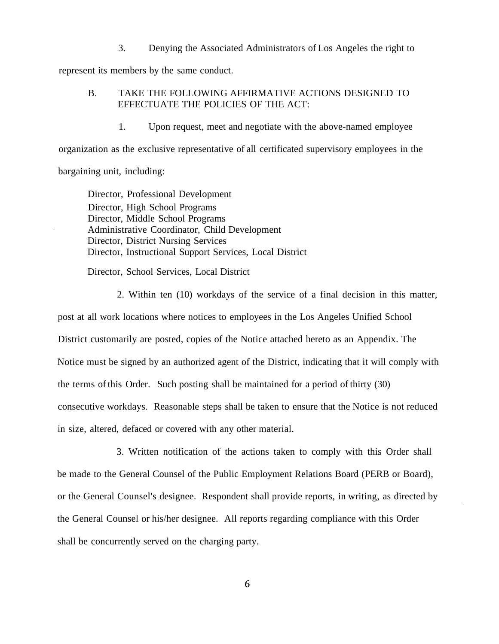3. Denying the Associated Administrators of Los Angeles the right to

represent its members by the same conduct.

### B. TAKE THE FOLLOWING AFFIRMATIVE ACTIONS DESIGNED TO EFFECTUATE THE POLICIES OF THE ACT:

1. Upon request, meet and negotiate with the above-named employee

organization as the exclusive representative of all certificated supervisory employees in the bargaining unit, including:

Director, Professional Development Director, High School Programs Director, Middle School Programs Administrative Coordinator, Child Development Director, District Nursing Services Director, Instructional Support Services, Local District

Director, School Services, Local District

2. Within ten (10) workdays of the service of a final decision in this matter,

post at all work locations where notices to employees in the Los Angeles Unified School District customarily are posted, copies of the Notice attached hereto as an Appendix. The Notice must be signed by an authorized agent of the District, indicating that it will comply with the terms of this Order. Such posting shall be maintained for a period of thirty (30) consecutive workdays. Reasonable steps shall be taken to ensure that the Notice is not reduced in size, altered, defaced or covered with any other material.

3. Written notification of the actions taken to comply with this Order shall be made to the General Counsel of the Public Employment Relations Board (PERB or Board), or the General Counsel's designee. Respondent shall provide reports, in writing, as directed by the General Counsel or his/her designee. All reports regarding compliance with this Order shall be concurrently served on the charging party.